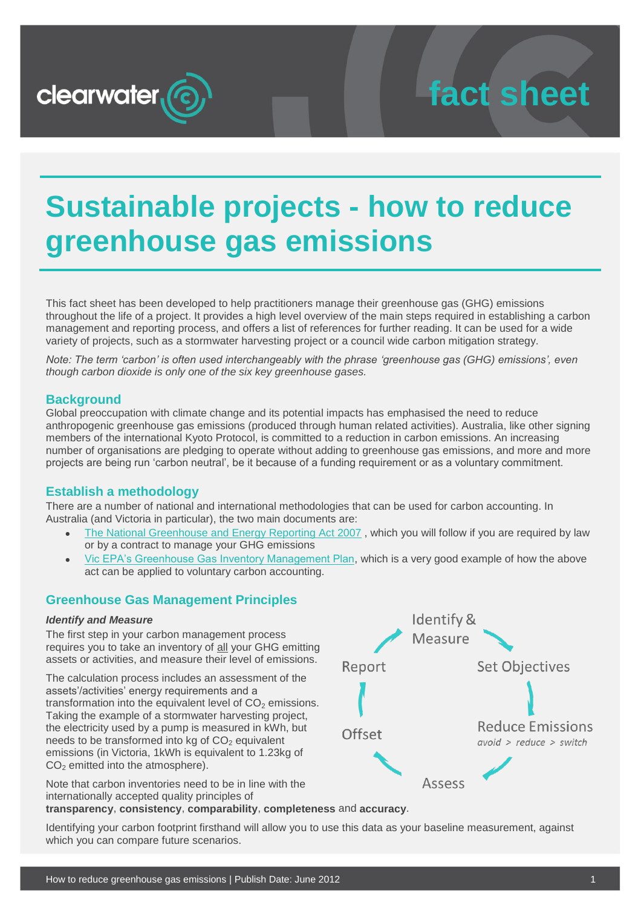

## **fact sheet**

### **Sustainable projects - how to reduce greenhouse gas emissions**

This fact sheet has been developed to help practitioners manage their greenhouse gas (GHG) emissions throughout the life of a project. It provides a high level overview of the main steps required in establishing a carbon management and reporting process, and offers a list of references for further reading. It can be used for a wide variety of projects, such as a stormwater harvesting project or a council wide carbon mitigation strategy.

*Note: The term 'carbon' is often used interchangeably with the phrase 'greenhouse gas (GHG) emissions', even though carbon dioxide is only one of the six key greenhouse gases.*

#### **Background**

Global preoccupation with climate change and its potential impacts has emphasised the need to reduce anthropogenic greenhouse gas emissions (produced through human related activities). Australia, like other signing members of the international Kyoto Protocol, is committed to a reduction in carbon emissions. An increasing number of organisations are pledging to operate without adding to greenhouse gas emissions, and more and more projects are being run 'carbon neutral', be it because of a funding requirement or as a voluntary commitment.

#### **Establish a methodology**

There are a number of national and international methodologies that can be used for carbon accounting. In Australia (and Victoria in particular), the two main documents are:

- [The National Greenhouse and Energy Reporting Act 2007](http://www.comlaw.gov.au/Series/C2007A00175), which you will follow if you are required by law or by a contract to manage your GHG emissions
- [Vic EPA's Greenhouse Gas Inventory Management Plan,](http://epanote2.epa.vic.gov.au/EPA/publications.nsf/515bc2fde7bf93f44a2565b6001ee896/98384b62be85c2d5ca257419000626fb/$FILE/1168.1.pdf) which is a very good example of how the above act can be applied to voluntary carbon accounting.

#### **Greenhouse Gas Management Principles**

#### *Identify and Measure*

The first step in your carbon management process requires you to take an inventory of all your GHG emitting assets or activities, and measure their level of emissions.

The calculation process includes an assessment of the assets'/activities' energy requirements and a transformation into the equivalent level of  $CO<sub>2</sub>$  emissions. Taking the example of a stormwater harvesting project, the electricity used by a pump is measured in kWh, but needs to be transformed into kg of  $CO<sub>2</sub>$  equivalent emissions (in Victoria, 1kWh is equivalent to 1.23kg of  $CO<sub>2</sub>$  emitted into the atmosphere).

Note that carbon inventories need to be in line with the internationally accepted quality principles of

Identify & Measure **Set Objectives** Report **Reduce Emissions** Offset  $avoid$  > reduce > switch **Assess** 

**transparency**, **consistency**, **comparability**, **completeness** and **accuracy**.

Identifying your carbon footprint firsthand will allow you to use this data as your baseline measurement, against which you can compare future scenarios.